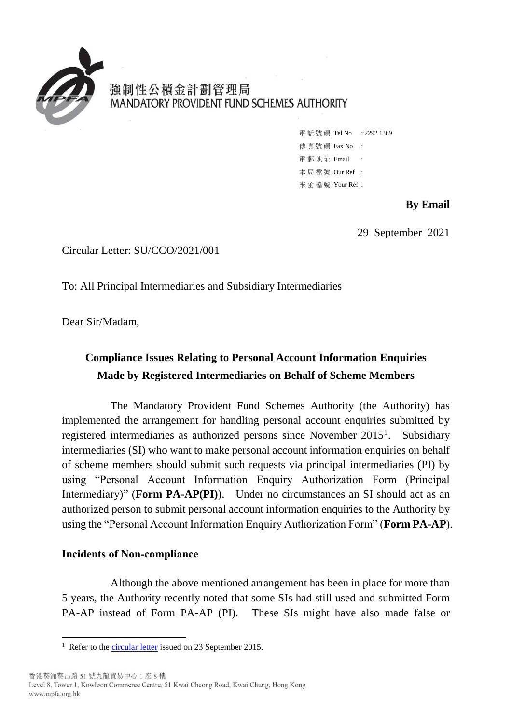

# 強制性公積金計劃管理局 MANDATORY PROVIDENT FUND SCHEMES AUTHORITY

電話號碼 Tel No : 2292 1369 傳 真 號 碼 Fax No : 雷 郵 地 址 Email : 本 局 檔 號 Our Ref : 來 函 檔 號 Your Ref :

#### **By Email**

29 September 2021

Circular Letter: SU/CCO/2021/001

To: All Principal Intermediaries and Subsidiary Intermediaries

Dear Sir/Madam,

# **Compliance Issues Relating to Personal Account Information Enquiries Made by Registered Intermediaries on Behalf of Scheme Members**

The Mandatory Provident Fund Schemes Authority (the Authority) has implemented the arrangement for handling personal account enquiries submitted by registered intermediaries as authorized persons since November 2015<sup>1</sup>. Subsidiary intermediaries (SI) who want to make personal account information enquiries on behalf of scheme members should submit such requests via principal intermediaries (PI) by using "Personal Account Information Enquiry Authorization Form (Principal Intermediary)" (**Form PA-AP(PI)**). Under no circumstances an SI should act as an authorized person to submit personal account information enquiries to the Authority by using the "Personal Account Information Enquiry Authorization Form" (**Form PA-AP**).

# **Incidents of Non-compliance**

Although the above mentioned arrangement has been in place for more than 5 years, the Authority recently noted that some SIs had still used and submitted Form PA-AP instead of Form PA-AP (PI). These SIs might have also made false or

<sup>1</sup> <sup>1</sup> Refer to the [circular letter](https://www.mpfa.org.hk/pdf/eng/legislation_regulations/legulations_ordinance/circulars/mpf/2011_2015/files/CIR-20150923.pdf) issued on 23 September 2015.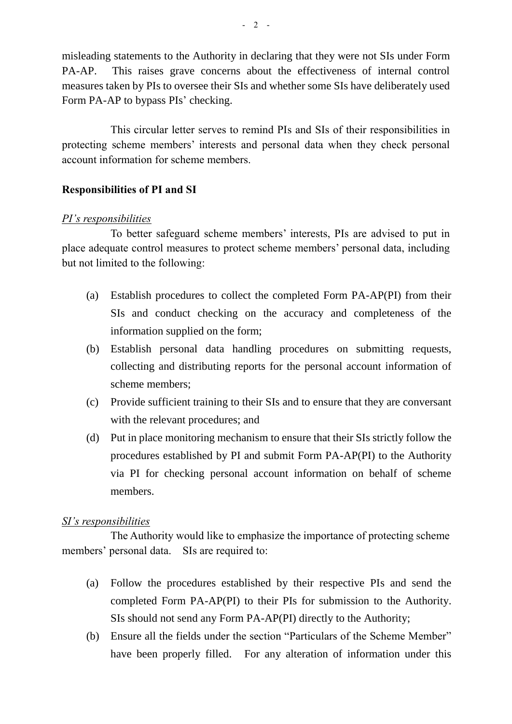misleading statements to the Authority in declaring that they were not SIs under Form PA-AP. This raises grave concerns about the effectiveness of internal control measures taken by PIs to oversee their SIs and whether some SIs have deliberately used Form PA-AP to bypass PIs' checking.

This circular letter serves to remind PIs and SIs of their responsibilities in protecting scheme members' interests and personal data when they check personal account information for scheme members.

#### **Responsibilities of PI and SI**

#### *PI's responsibilities*

To better safeguard scheme members' interests, PIs are advised to put in place adequate control measures to protect scheme members' personal data, including but not limited to the following:

- (a) Establish procedures to collect the completed Form PA-AP(PI) from their SIs and conduct checking on the accuracy and completeness of the information supplied on the form;
- (b) Establish personal data handling procedures on submitting requests, collecting and distributing reports for the personal account information of scheme members;
- (c) Provide sufficient training to their SIs and to ensure that they are conversant with the relevant procedures; and
- (d) Put in place monitoring mechanism to ensure that their SIs strictly follow the procedures established by PI and submit Form PA-AP(PI) to the Authority via PI for checking personal account information on behalf of scheme members.

# *SI's responsibilities*

The Authority would like to emphasize the importance of protecting scheme members' personal data. SIs are required to:

- (a) Follow the procedures established by their respective PIs and send the completed Form PA-AP(PI) to their PIs for submission to the Authority. SIs should not send any Form PA-AP(PI) directly to the Authority;
- (b) Ensure all the fields under the section "Particulars of the Scheme Member" have been properly filled. For any alteration of information under this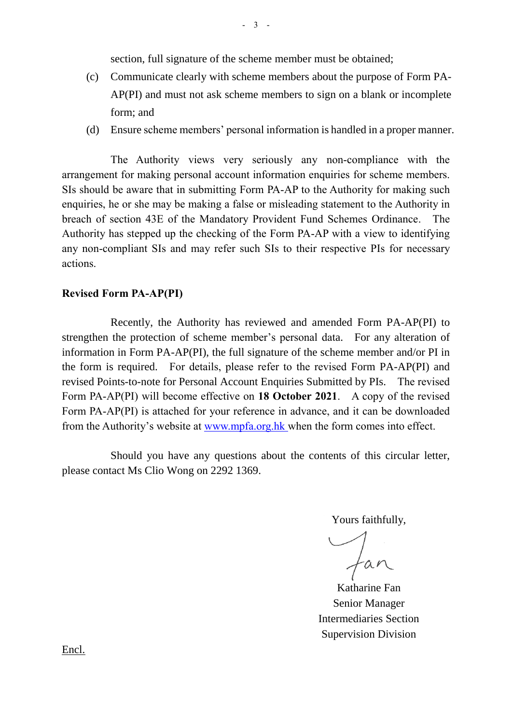section, full signature of the scheme member must be obtained;

- (c) Communicate clearly with scheme members about the purpose of Form PA-AP(PI) and must not ask scheme members to sign on a blank or incomplete form; and
- (d) Ensure scheme members' personal information is handled in a proper manner.

The Authority views very seriously any non-compliance with the arrangement for making personal account information enquiries for scheme members. SIs should be aware that in submitting Form PA-AP to the Authority for making such enquiries, he or she may be making a false or misleading statement to the Authority in breach of section 43E of the Mandatory Provident Fund Schemes Ordinance. The Authority has stepped up the checking of the Form PA-AP with a view to identifying any non-compliant SIs and may refer such SIs to their respective PIs for necessary actions.

# **Revised Form PA-AP(PI)**

Recently, the Authority has reviewed and amended Form PA-AP(PI) to strengthen the protection of scheme member's personal data. For any alteration of information in Form PA-AP(PI), the full signature of the scheme member and/or PI in the form is required. For details, please refer to the revised Form PA-AP(PI) and revised Points-to-note for Personal Account Enquiries Submitted by PIs. The revised Form PA-AP(PI) will become effective on **18 October 2021**. A copy of the revised Form PA-AP(PI) is attached for your reference in advance, and it can be downloaded from the Authority's website at [www.mpfa.org.hk](http://www.mpfa.org.hk/) when the form comes into effect.

Should you have any questions about the contents of this circular letter, please contact Ms Clio Wong on 2292 1369.

Yours faithfully,

fan

Katharine Fan Senior Manager Intermediaries Section Supervision Division

Encl.